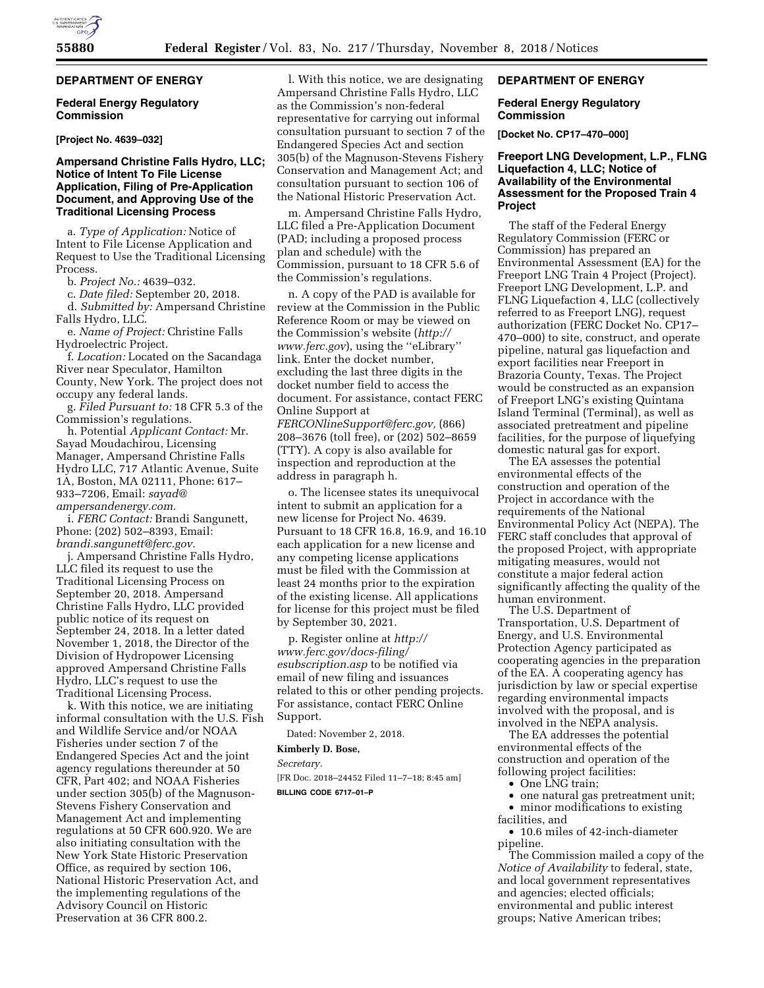# **DEPARTMENT OF ENERGY**

### **Federal Energy Regulatory Commission**

### **[Project No. 4639–032]**

## **Ampersand Christine Falls Hydro, LLC; Notice of Intent To File License Application, Filing of Pre-Application Document, and Approving Use of the Traditional Licensing Process**

a. *Type of Application:* Notice of Intent to File License Application and Request to Use the Traditional Licensing Process.

b. *Project No.:* 4639–032.

c. *Date filed:* September 20, 2018.

d. *Submitted by:* Ampersand Christine Falls Hydro, LLC.

e. *Name of Project:* Christine Falls Hydroelectric Project.

f. *Location:* Located on the Sacandaga River near Speculator, Hamilton County, New York. The project does not occupy any federal lands.

g. *Filed Pursuant to:* 18 CFR 5.3 of the Commission's regulations.

h. Potential *Applicant Contact:* Mr. Sayad Moudachirou, Licensing Manager, Ampersand Christine Falls Hydro LLC, 717 Atlantic Avenue, Suite 1A, Boston, MA 02111, Phone: 617– 933–7206, Email: *[sayad@](mailto:sayad@ampersandenergy.com) [ampersandenergy.com.](mailto:sayad@ampersandenergy.com)* 

i. *FERC Contact:* Brandi Sangunett, Phone: (202) 502–8393, Email: *[brandi.sangunett@ferc.gov.](mailto:brandi.sangunett@ferc.gov)* 

j. Ampersand Christine Falls Hydro, LLC filed its request to use the Traditional Licensing Process on September 20, 2018. Ampersand Christine Falls Hydro, LLC provided public notice of its request on September 24, 2018. In a letter dated November 1, 2018, the Director of the Division of Hydropower Licensing approved Ampersand Christine Falls Hydro, LLC's request to use the Traditional Licensing Process.

k. With this notice, we are initiating informal consultation with the U.S. Fish and Wildlife Service and/or NOAA Fisheries under section 7 of the Endangered Species Act and the joint agency regulations thereunder at 50 CFR, Part 402; and NOAA Fisheries under section 305(b) of the Magnuson-Stevens Fishery Conservation and Management Act and implementing regulations at 50 CFR 600.920. We are also initiating consultation with the New York State Historic Preservation Office, as required by section 106, National Historic Preservation Act, and the implementing regulations of the Advisory Council on Historic Preservation at 36 CFR 800.2.

l. With this notice, we are designating Ampersand Christine Falls Hydro, LLC as the Commission's non-federal representative for carrying out informal consultation pursuant to section 7 of the Endangered Species Act and section 305(b) of the Magnuson-Stevens Fishery Conservation and Management Act; and consultation pursuant to section 106 of the National Historic Preservation Act.

m. Ampersand Christine Falls Hydro, LLC filed a Pre-Application Document (PAD; including a proposed process plan and schedule) with the Commission, pursuant to 18 CFR 5.6 of the Commission's regulations.

n. A copy of the PAD is available for review at the Commission in the Public Reference Room or may be viewed on the Commission's website (*[http://](http://www.ferc.gov) [www.ferc.gov](http://www.ferc.gov)*), using the ''eLibrary'' link. Enter the docket number, excluding the last three digits in the docket number field to access the document. For assistance, contact FERC Online Support at *[FERCONlineSupport@ferc.gov,](mailto:FERCONlineSupport@ferc.gov)* (866) 208–3676 (toll free), or (202) 502–8659 (TTY). A copy is also available for inspection and reproduction at the address in paragraph h.

o. The licensee states its unequivocal intent to submit an application for a new license for Project No. 4639. Pursuant to 18 CFR 16.8, 16.9, and 16.10 each application for a new license and any competing license applications must be filed with the Commission at least 24 months prior to the expiration of the existing license. All applications for license for this project must be filed by September 30, 2021.

p. Register online at *[http://](http://www.ferc.gov/docs-filing/esubscription.asp) [www.ferc.gov/docs-filing/](http://www.ferc.gov/docs-filing/esubscription.asp)  [esubscription.asp](http://www.ferc.gov/docs-filing/esubscription.asp)* to be notified via email of new filing and issuances related to this or other pending projects. For assistance, contact FERC Online Support.

Dated: November 2, 2018.

# **Kimberly D. Bose,**

*Secretary.*  [FR Doc. 2018–24452 Filed 11–7–18; 8:45 am] **BILLING CODE 6717–01–P** 

# **DEPARTMENT OF ENERGY**

### **Federal Energy Regulatory Commission**

**[Docket No. CP17–470–000]** 

## **Freeport LNG Development, L.P., FLNG Liquefaction 4, LLC; Notice of Availability of the Environmental Assessment for the Proposed Train 4 Project**

The staff of the Federal Energy Regulatory Commission (FERC or Commission) has prepared an Environmental Assessment (EA) for the Freeport LNG Train 4 Project (Project). Freeport LNG Development, L.P. and FLNG Liquefaction 4, LLC (collectively referred to as Freeport LNG), request authorization (FERC Docket No. CP17– 470–000) to site, construct, and operate pipeline, natural gas liquefaction and export facilities near Freeport in Brazoria County, Texas. The Project would be constructed as an expansion of Freeport LNG's existing Quintana Island Terminal (Terminal), as well as associated pretreatment and pipeline facilities, for the purpose of liquefying domestic natural gas for export.

The EA assesses the potential environmental effects of the construction and operation of the Project in accordance with the requirements of the National Environmental Policy Act (NEPA). The FERC staff concludes that approval of the proposed Project, with appropriate mitigating measures, would not constitute a major federal action significantly affecting the quality of the human environment.

The U.S. Department of Transportation, U.S. Department of Energy, and U.S. Environmental Protection Agency participated as cooperating agencies in the preparation of the EA. A cooperating agency has jurisdiction by law or special expertise regarding environmental impacts involved with the proposal, and is involved in the NEPA analysis.

The EA addresses the potential environmental effects of the construction and operation of the following project facilities:

• One LNG train;

• one natural gas pretreatment unit;

• minor modifications to existing facilities, and

• 10.6 miles of 42-inch-diameter pipeline.

The Commission mailed a copy of the *Notice of Availability* to federal, state, and local government representatives and agencies; elected officials; environmental and public interest groups; Native American tribes;